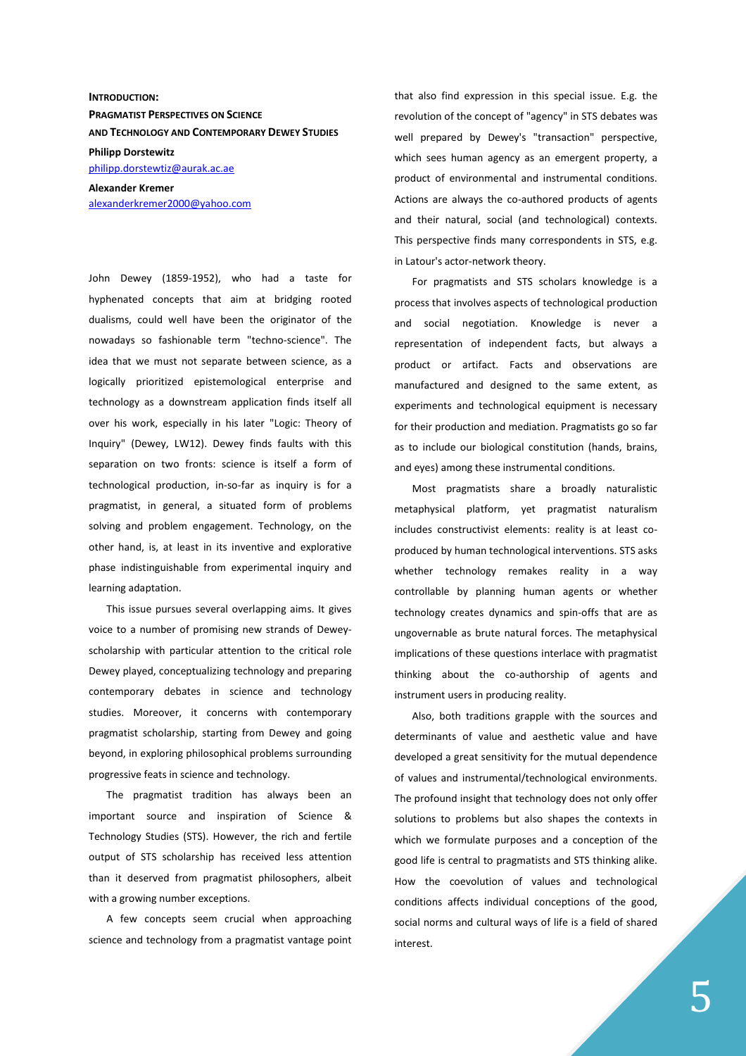**INTRODUCTION: PRAGMATIST PERSPECTIVES ON SCIENCE AND TECHNOLOGY AND CONTEMPORARY DEWEY STUDIES Philipp Dorstewitz**  philipp.dorstewtiz@aurak.ac.ae

**Alexander Kremer**  alexanderkremer2000@yahoo.com

John Dewey (1859-1952), who had a taste for hyphenated concepts that aim at bridging rooted dualisms, could well have been the originator of the nowadays so fashionable term "techno-science". The idea that we must not separate between science, as a logically prioritized epistemological enterprise and technology as a downstream application finds itself all over his work, especially in his later "Logic: Theory of Inquiry" (Dewey, LW12). Dewey finds faults with this separation on two fronts: science is itself a form of technological production, in-so-far as inquiry is for a pragmatist, in general, a situated form of problems solving and problem engagement. Technology, on the other hand, is, at least in its inventive and explorative phase indistinguishable from experimental inquiry and learning adaptation.

This issue pursues several overlapping aims. It gives voice to a number of promising new strands of Deweyscholarship with particular attention to the critical role Dewey played, conceptualizing technology and preparing contemporary debates in science and technology studies. Moreover, it concerns with contemporary pragmatist scholarship, starting from Dewey and going beyond, in exploring philosophical problems surrounding progressive feats in science and technology.

The pragmatist tradition has always been an important source and inspiration of Science & Technology Studies (STS). However, the rich and fertile output of STS scholarship has received less attention than it deserved from pragmatist philosophers, albeit with a growing number exceptions.

A few concepts seem crucial when approaching science and technology from a pragmatist vantage point that also find expression in this special issue. E.g. the revolution of the concept of "agency" in STS debates was well prepared by Dewey's "transaction" perspective, which sees human agency as an emergent property, a product of environmental and instrumental conditions. Actions are always the co-authored products of agents and their natural, social (and technological) contexts. This perspective finds many correspondents in STS, e.g. in Latour's actor-network theory.

For pragmatists and STS scholars knowledge is a process that involves aspects of technological production and social negotiation. Knowledge is never a representation of independent facts, but always a product or artifact. Facts and observations are manufactured and designed to the same extent, as experiments and technological equipment is necessary for their production and mediation. Pragmatists go so far as to include our biological constitution (hands, brains, and eyes) among these instrumental conditions.

Most pragmatists share a broadly naturalistic metaphysical platform, yet pragmatist naturalism includes constructivist elements: reality is at least coproduced by human technological interventions. STS asks whether technology remakes reality in a way controllable by planning human agents or whether technology creates dynamics and spin-offs that are as ungovernable as brute natural forces. The metaphysical implications of these questions interlace with pragmatist thinking about the co-authorship of agents and instrument users in producing reality.

Also, both traditions grapple with the sources and determinants of value and aesthetic value and have developed a great sensitivity for the mutual dependence of values and instrumental/technological environments. The profound insight that technology does not only offer solutions to problems but also shapes the contexts in which we formulate purposes and a conception of the good life is central to pragmatists and STS thinking alike. How the coevolution of values and technological conditions affects individual conceptions of the good, social norms and cultural ways of life is a field of shared interest.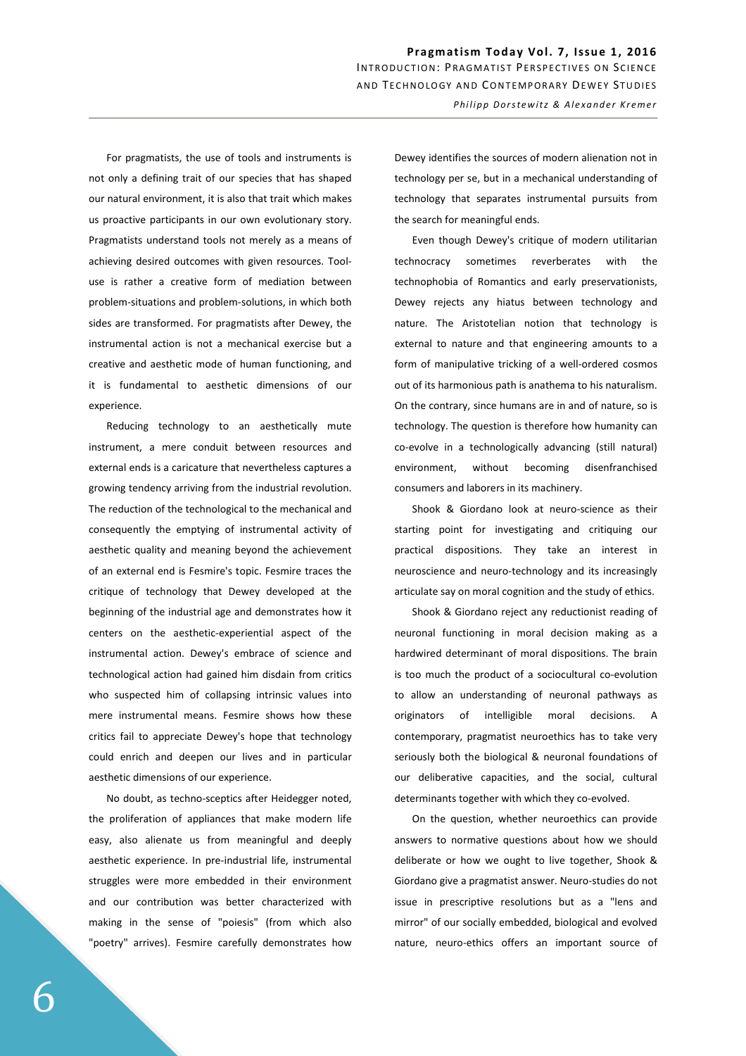For pragmatists, the use of tools and instruments is not only a defining trait of our species that has shaped our natural environment, it is also that trait which makes us proactive participants in our own evolutionary story. Pragmatists understand tools not merely as a means of achieving desired outcomes with given resources. Tooluse is rather a creative form of mediation between problem-situations and problem-solutions, in which both sides are transformed. For pragmatists after Dewey, the instrumental action is not a mechanical exercise but a creative and aesthetic mode of human functioning, and it is fundamental to aesthetic dimensions of our experience.

Reducing technology to an aesthetically mute instrument, a mere conduit between resources and external ends is a caricature that nevertheless captures a growing tendency arriving from the industrial revolution. The reduction of the technological to the mechanical and consequently the emptying of instrumental activity of aesthetic quality and meaning beyond the achievement of an external end is Fesmire's topic. Fesmire traces the critique of technology that Dewey developed at the beginning of the industrial age and demonstrates how it centers on the aesthetic-experiential aspect of the instrumental action. Dewey's embrace of science and technological action had gained him disdain from critics who suspected him of collapsing intrinsic values into mere instrumental means. Fesmire shows how these critics fail to appreciate Dewey's hope that technology could enrich and deepen our lives and in particular aesthetic dimensions of our experience.

No doubt, as techno-sceptics after Heidegger noted, the proliferation of appliances that make modern life easy, also alienate us from meaningful and deeply aesthetic experience. In pre-industrial life, instrumental struggles were more embedded in their environment and our contribution was better characterized with making in the sense of "poiesis" (from which also "poetry" arrives). Fesmire carefully demonstrates how

Dewey identifies the sources of modern alienation not in technology per se, but in a mechanical understanding of technology that separates instrumental pursuits from the search for meaningful ends.

Even though Dewey's critique of modern utilitarian technocracy sometimes reverberates with the technophobia of Romantics and early preservationists, Dewey rejects any hiatus between technology and nature. The Aristotelian notion that technology is external to nature and that engineering amounts to a form of manipulative tricking of a well-ordered cosmos out of its harmonious path is anathema to his naturalism. On the contrary, since humans are in and of nature, so is technology. The question is therefore how humanity can co-evolve in a technologically advancing (still natural) environment, without becoming disenfranchised consumers and laborers in its machinery.

Shook & Giordano look at neuro-science as their starting point for investigating and critiquing our practical dispositions. They take an interest in neuroscience and neuro-technology and its increasingly articulate say on moral cognition and the study of ethics.

Shook & Giordano reject any reductionist reading of neuronal functioning in moral decision making as a hardwired determinant of moral dispositions. The brain is too much the product of a sociocultural co-evolution to allow an understanding of neuronal pathways as originators of intelligible moral decisions. A contemporary, pragmatist neuroethics has to take very seriously both the biological & neuronal foundations of our deliberative capacities, and the social, cultural determinants together with which they co-evolved.

On the question, whether neuroethics can provide answers to normative questions about how we should deliberate or how we ought to live together, Shook & Giordano give a pragmatist answer. Neuro-studies do not issue in prescriptive resolutions but as a "lens and mirror" of our socially embedded, biological and evolved nature, neuro-ethics offers an important source of

6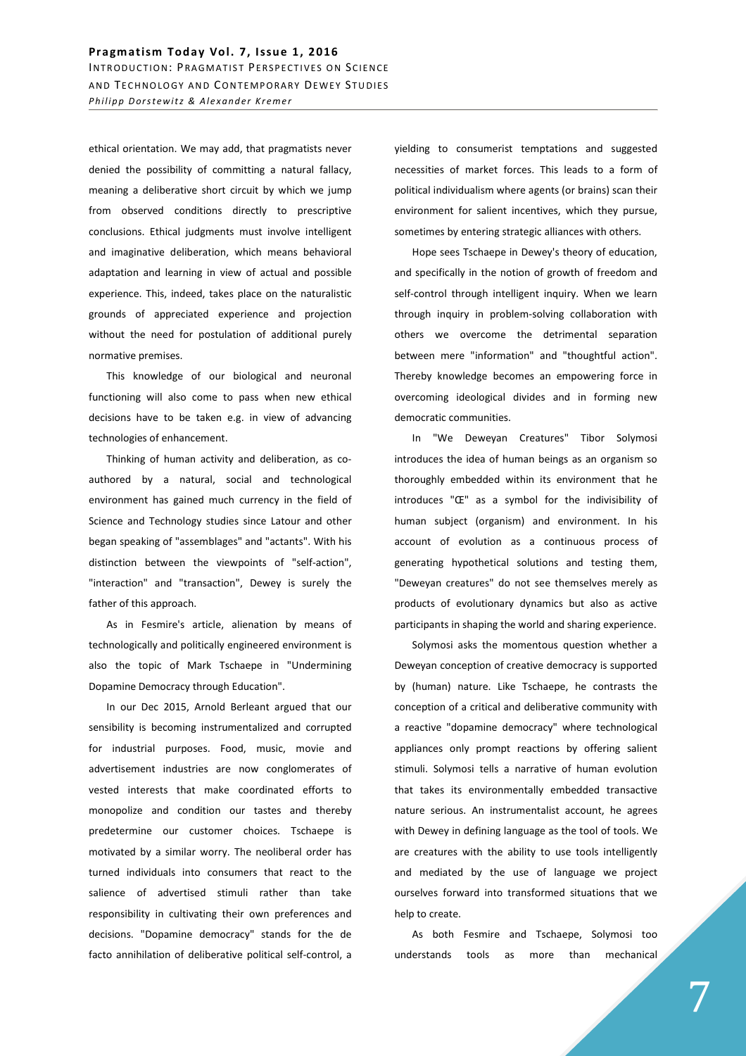ethical orientation. We may add, that pragmatists never denied the possibility of committing a natural fallacy, meaning a deliberative short circuit by which we jump from observed conditions directly to prescriptive conclusions. Ethical judgments must involve intelligent and imaginative deliberation, which means behavioral adaptation and learning in view of actual and possible experience. This, indeed, takes place on the naturalistic grounds of appreciated experience and projection without the need for postulation of additional purely normative premises.

This knowledge of our biological and neuronal functioning will also come to pass when new ethical decisions have to be taken e.g. in view of advancing technologies of enhancement.

Thinking of human activity and deliberation, as coauthored by a natural, social and technological environment has gained much currency in the field of Science and Technology studies since Latour and other began speaking of "assemblages" and "actants". With his distinction between the viewpoints of "self-action", "interaction" and "transaction", Dewey is surely the father of this approach.

As in Fesmire's article, alienation by means of technologically and politically engineered environment is also the topic of Mark Tschaepe in "Undermining Dopamine Democracy through Education".

In our Dec 2015, Arnold Berleant argued that our sensibility is becoming instrumentalized and corrupted for industrial purposes. Food, music, movie and advertisement industries are now conglomerates of vested interests that make coordinated efforts to monopolize and condition our tastes and thereby predetermine our customer choices. Tschaepe is motivated by a similar worry. The neoliberal order has turned individuals into consumers that react to the salience of advertised stimuli rather than take responsibility in cultivating their own preferences and decisions. "Dopamine democracy" stands for the de facto annihilation of deliberative political self-control, a

yielding to consumerist temptations and suggested necessities of market forces. This leads to a form of political individualism where agents (or brains) scan their environment for salient incentives, which they pursue, sometimes by entering strategic alliances with others.

Hope sees Tschaepe in Dewey's theory of education, and specifically in the notion of growth of freedom and self-control through intelligent inquiry. When we learn through inquiry in problem-solving collaboration with others we overcome the detrimental separation between mere "information" and "thoughtful action". Thereby knowledge becomes an empowering force in overcoming ideological divides and in forming new democratic communities.

In "We Deweyan Creatures" Tibor Solymosi introduces the idea of human beings as an organism so thoroughly embedded within its environment that he introduces "Œ" as a symbol for the indivisibility of human subject (organism) and environment. In his account of evolution as a continuous process of generating hypothetical solutions and testing them, "Deweyan creatures" do not see themselves merely as products of evolutionary dynamics but also as active participants in shaping the world and sharing experience.

Solymosi asks the momentous question whether a Deweyan conception of creative democracy is supported by (human) nature. Like Tschaepe, he contrasts the conception of a critical and deliberative community with a reactive "dopamine democracy" where technological appliances only prompt reactions by offering salient stimuli. Solymosi tells a narrative of human evolution that takes its environmentally embedded transactive nature serious. An instrumentalist account, he agrees with Dewey in defining language as the tool of tools. We are creatures with the ability to use tools intelligently and mediated by the use of language we project ourselves forward into transformed situations that we help to create.

As both Fesmire and Tschaepe, Solymosi too understands tools as more than mechanical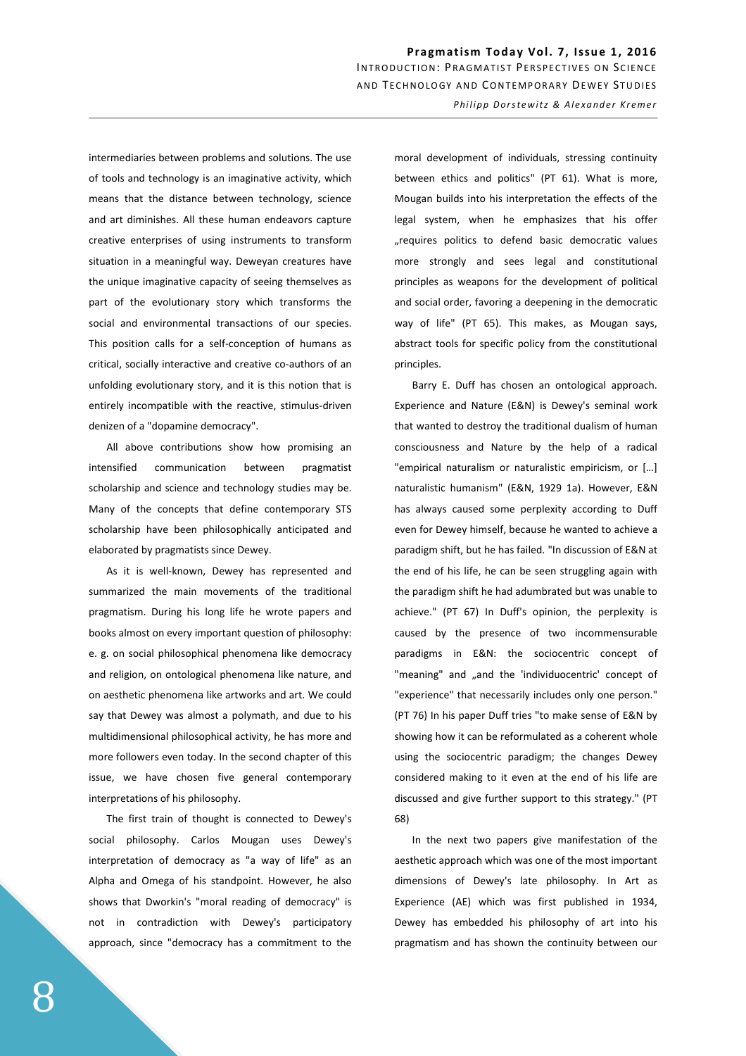Pragmatism Today Vol. 7, Issue 1, 2016 INTRODUCTION: PRAGMATIST PERSPECTIVES ON SCIENCE AND TECHNOLOGY AND CONTEMPORARY DEWEY STUDIES *Philipp Dorstewitz & Alexander Kremer* 

intermediaries between problems and solutions. The use of tools and technology is an imaginative activity, which means that the distance between technology, science and art diminishes. All these human endeavors capture creative enterprises of using instruments to transform situation in a meaningful way. Deweyan creatures have the unique imaginative capacity of seeing themselves as part of the evolutionary story which transforms the social and environmental transactions of our species. This position calls for a self-conception of humans as critical, socially interactive and creative co-authors of an unfolding evolutionary story, and it is this notion that is entirely incompatible with the reactive, stimulus-driven denizen of a "dopamine democracy".

All above contributions show how promising an intensified communication between pragmatist scholarship and science and technology studies may be. Many of the concepts that define contemporary STS scholarship have been philosophically anticipated and elaborated by pragmatists since Dewey.

As it is well-known, Dewey has represented and summarized the main movements of the traditional pragmatism. During his long life he wrote papers and books almost on every important question of philosophy: e. g. on social philosophical phenomena like democracy and religion, on ontological phenomena like nature, and on aesthetic phenomena like artworks and art. We could say that Dewey was almost a polymath, and due to his multidimensional philosophical activity, he has more and more followers even today. In the second chapter of this issue, we have chosen five general contemporary interpretations of his philosophy.

The first train of thought is connected to Dewey's social philosophy. Carlos Mougan uses Dewey's interpretation of democracy as "a way of life" as an Alpha and Omega of his standpoint. However, he also shows that Dworkin's "moral reading of democracy" is not in contradiction with Dewey's participatory approach, since "democracy has a commitment to the

moral development of individuals, stressing continuity between ethics and politics" (PT 61). What is more, Mougan builds into his interpretation the effects of the legal system, when he emphasizes that his offer "requires politics to defend basic democratic values more strongly and sees legal and constitutional principles as weapons for the development of political and social order, favoring a deepening in the democratic way of life" (PT 65). This makes, as Mougan says, abstract tools for specific policy from the constitutional principles.

Barry E. Duff has chosen an ontological approach. Experience and Nature (E&N) is Dewey's seminal work that wanted to destroy the traditional dualism of human consciousness and Nature by the help of a radical "empirical naturalism or naturalistic empiricism, or […] naturalistic humanism" (E&N, 1929 1a). However, E&N has always caused some perplexity according to Duff even for Dewey himself, because he wanted to achieve a paradigm shift, but he has failed. "In discussion of E&N at the end of his life, he can be seen struggling again with the paradigm shift he had adumbrated but was unable to achieve." (PT 67) In Duff's opinion, the perplexity is caused by the presence of two incommensurable paradigms in E&N: the sociocentric concept of "meaning" and "and the 'individuocentric' concept of "experience" that necessarily includes only one person." (PT 76) In his paper Duff tries "to make sense of E&N by showing how it can be reformulated as a coherent whole using the sociocentric paradigm; the changes Dewey considered making to it even at the end of his life are discussed and give further support to this strategy." (PT 68)

In the next two papers give manifestation of the aesthetic approach which was one of the most important dimensions of Dewey's late philosophy. In Art as Experience (AE) which was first published in 1934, Dewey has embedded his philosophy of art into his pragmatism and has shown the continuity between our

8